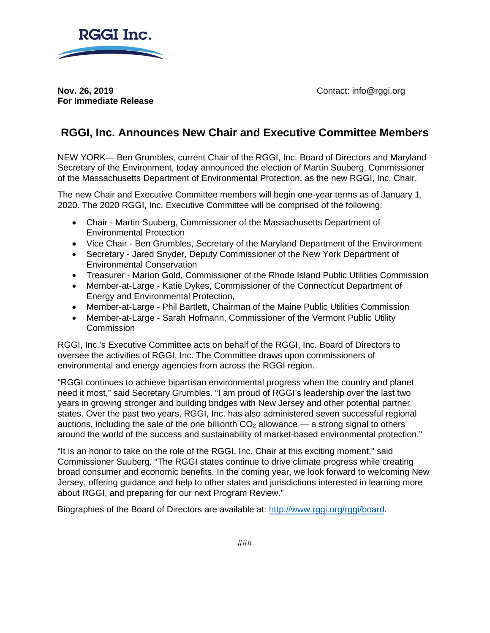

**Nov. 26, 2019 Contact: info@rggi.org For Immediate Release**

## **RGGI, Inc. Announces New Chair and Executive Committee Members**

NEW YORK— Ben Grumbles, current Chair of the RGGI, Inc. Board of Directors and Maryland Secretary of the Environment, today announced the election of Martin Suuberg, Commissioner of the Massachusetts Department of Environmental Protection, as the new RGGI, Inc. Chair.

The new Chair and Executive Committee members will begin one-year terms as of January 1, 2020. The 2020 RGGI, Inc. Executive Committee will be comprised of the following:

- Chair Martin Suuberg, Commissioner of the Massachusetts Department of Environmental Protection
- Vice Chair Ben Grumbles, Secretary of the Maryland Department of the Environment
- Secretary Jared Snyder, Deputy Commissioner of the New York Department of Environmental Conservation
- Treasurer Marion Gold, Commissioner of the Rhode Island Public Utilities Commission
- Member-at-Large Katie Dykes, Commissioner of the Connecticut Department of Energy and Environmental Protection,
- Member-at-Large Phil Bartlett, Chairman of the Maine Public Utilities Commission
- Member-at-Large Sarah Hofmann, Commissioner of the Vermont Public Utility **Commission**

RGGI, Inc.'s Executive Committee acts on behalf of the RGGI, Inc. Board of Directors to oversee the activities of RGGI, Inc. The Committee draws upon commissioners of environmental and energy agencies from across the RGGI region.

"RGGI continues to achieve bipartisan environmental progress when the country and planet need it most," said Secretary Grumbles. "I am proud of RGGI's leadership over the last two years in growing stronger and building bridges with New Jersey and other potential partner states. Over the past two years, RGGI, Inc. has also administered seven successful regional auctions, including the sale of the one billionth  $CO<sub>2</sub>$  allowance — a strong signal to others around the world of the success and sustainability of market-based environmental protection."

"It is an honor to take on the role of the RGGI, Inc. Chair at this exciting moment," said Commissioner Suuberg. "The RGGI states continue to drive climate progress while creating broad consumer and economic benefits. In the coming year, we look forward to welcoming New Jersey, offering guidance and help to other states and jurisdictions interested in learning more about RGGI, and preparing for our next Program Review."

Biographies of the Board of Directors are available at: [http://www.rggi.org/rggi/board.](http://www.rggi.org/rggi/board)